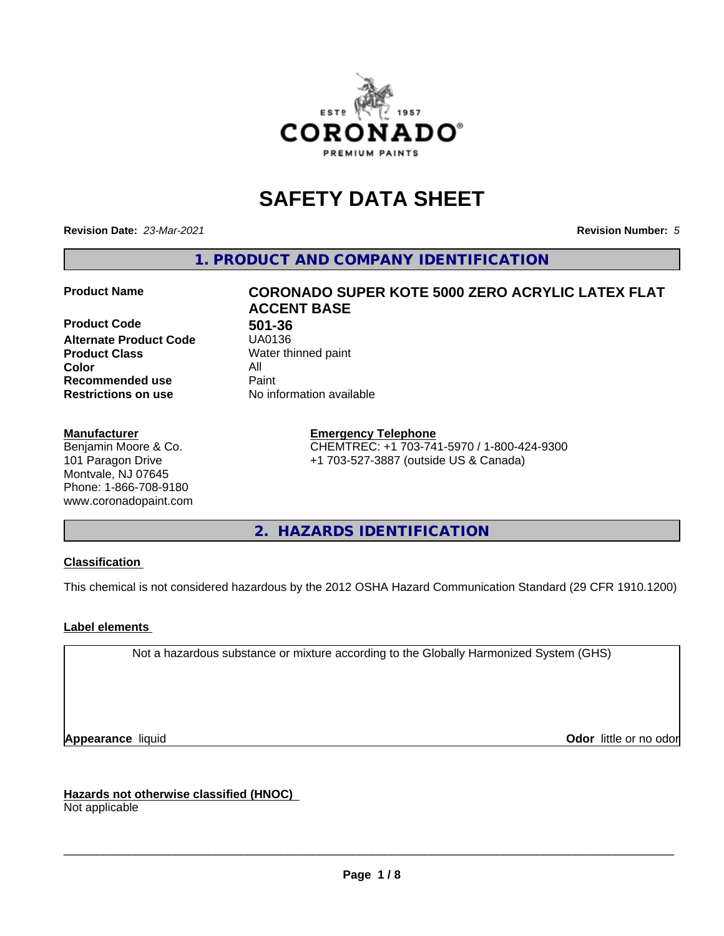

# **SAFETY DATA SHEET**

**Revision Date:** *23-Mar-2021* **Revision Number:** *5*

**1. PRODUCT AND COMPANY IDENTIFICATION**

**Product Code 501-36**<br>**Alternate Product Code** UA0136 **Alternate Product Code Product Class** Water thinned paint<br> **Color** All **Color** All **Recommended use Caint Restrictions on use** No information available

#### **Manufacturer**

Benjamin Moore & Co. 101 Paragon Drive Montvale, NJ 07645 Phone: 1-866-708-9180 www.coronadopaint.com

# **Product Name CORONADO SUPER KOTE 5000 ZERO ACRYLIC LATEX FLAT ACCENT BASE**

**Emergency Telephone** CHEMTREC: +1 703-741-5970 / 1-800-424-9300 +1 703-527-3887 (outside US & Canada)

**2. HAZARDS IDENTIFICATION**

#### **Classification**

This chemical is not considered hazardous by the 2012 OSHA Hazard Communication Standard (29 CFR 1910.1200)

#### **Label elements**

Not a hazardous substance or mixture according to the Globally Harmonized System (GHS)

**Appearance** liquid **Contract Contract Contract Contract Contract Contract Contract Contract Contract Contract Contract Contract Contract Contract Contract Contract Contract Contract Contract Contract Contract Contract Con** 

**Hazards not otherwise classified (HNOC)**

Not applicable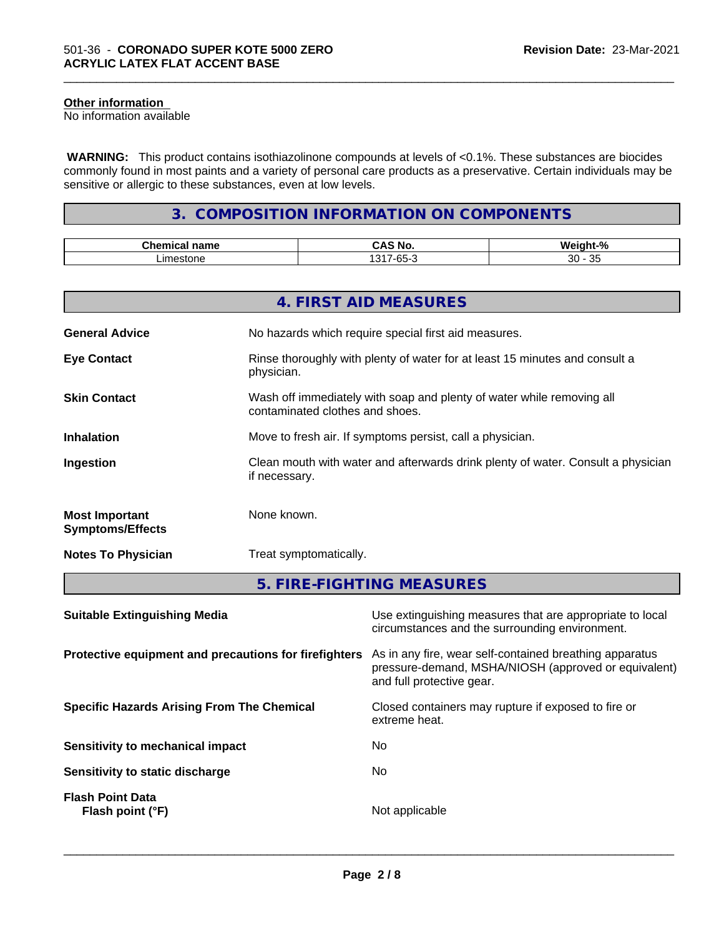#### **Other information**

No information available

 **WARNING:** This product contains isothiazolinone compounds at levels of <0.1%. These substances are biocides commonly found in most paints and a variety of personal care products as a preservative. Certain individuals may be sensitive or allergic to these substances, even at low levels.

\_\_\_\_\_\_\_\_\_\_\_\_\_\_\_\_\_\_\_\_\_\_\_\_\_\_\_\_\_\_\_\_\_\_\_\_\_\_\_\_\_\_\_\_\_\_\_\_\_\_\_\_\_\_\_\_\_\_\_\_\_\_\_\_\_\_\_\_\_\_\_\_\_\_\_\_\_\_\_\_\_\_\_\_\_\_\_\_\_\_\_\_\_

# **3. COMPOSITION INFORMATION ON COMPONENTS**

| $-1$<br>$ -$<br>name<br>шка | ਂ Nc                                     | . .<br>n                                                 |
|-----------------------------|------------------------------------------|----------------------------------------------------------|
| iestoni<br>ıt               | $\Omega$<br>$\sim$ $\sim$<br>$-0$<br>ิบม | $\sim$ $\sim$<br>$\sim$<br>-<br>ັບ<br>.J.<br>$\tilde{ }$ |

|                                                  | 4. FIRST AID MEASURES                                                                                    |
|--------------------------------------------------|----------------------------------------------------------------------------------------------------------|
| <b>General Advice</b>                            | No hazards which require special first aid measures.                                                     |
| <b>Eye Contact</b>                               | Rinse thoroughly with plenty of water for at least 15 minutes and consult a<br>physician.                |
| <b>Skin Contact</b>                              | Wash off immediately with soap and plenty of water while removing all<br>contaminated clothes and shoes. |
| <b>Inhalation</b>                                | Move to fresh air. If symptoms persist, call a physician.                                                |
| Ingestion                                        | Clean mouth with water and afterwards drink plenty of water. Consult a physician<br>if necessary.        |
| <b>Most Important</b><br><b>Symptoms/Effects</b> | None known.                                                                                              |
| <b>Notes To Physician</b>                        | Treat symptomatically.                                                                                   |
|                                                  | 5. FIRE-FIGHTING MEASURES                                                                                |

| <b>Suitable Extinguishing Media</b>                   | Use extinguishing measures that are appropriate to local<br>circumstances and the surrounding environment.                                   |
|-------------------------------------------------------|----------------------------------------------------------------------------------------------------------------------------------------------|
| Protective equipment and precautions for firefighters | As in any fire, wear self-contained breathing apparatus<br>pressure-demand, MSHA/NIOSH (approved or equivalent)<br>and full protective gear. |
| <b>Specific Hazards Arising From The Chemical</b>     | Closed containers may rupture if exposed to fire or<br>extreme heat.                                                                         |
| Sensitivity to mechanical impact                      | No.                                                                                                                                          |
| Sensitivity to static discharge                       | No.                                                                                                                                          |
| <b>Flash Point Data</b><br>Flash point (°F)           | Not applicable                                                                                                                               |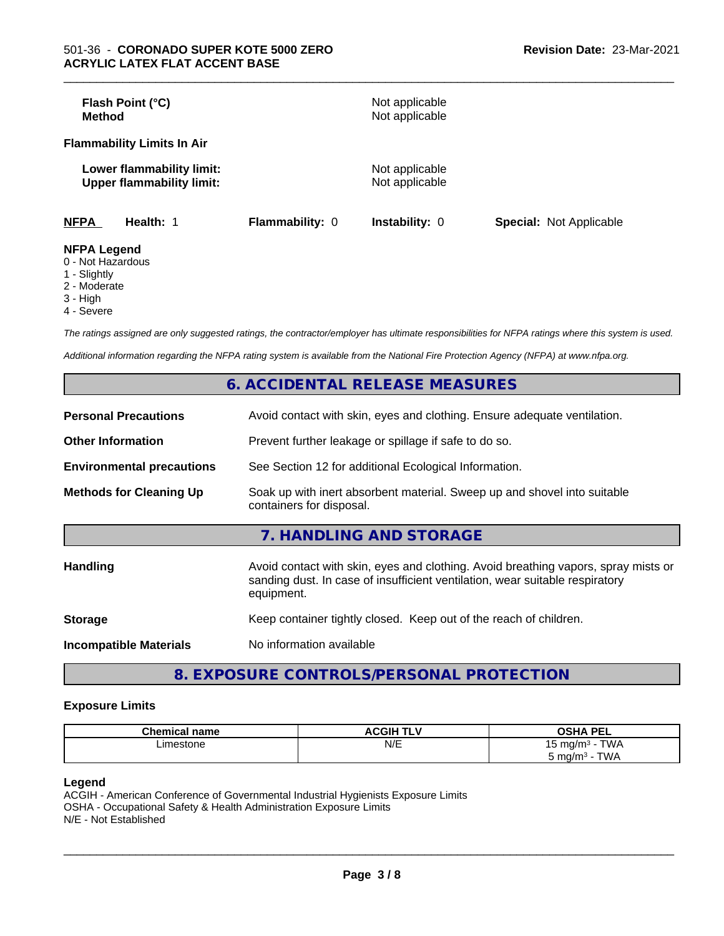| Flash Point (°C)<br>Method                                    |                        | Not applicable<br>Not applicable |                                |
|---------------------------------------------------------------|------------------------|----------------------------------|--------------------------------|
| <b>Flammability Limits In Air</b>                             |                        |                                  |                                |
| Lower flammability limit:<br><b>Upper flammability limit:</b> |                        | Not applicable<br>Not applicable |                                |
| <b>NFPA</b><br>Health: 1                                      | <b>Flammability: 0</b> | <b>Instability: 0</b>            | <b>Special: Not Applicable</b> |
| <b>NFPA Legend</b><br>0 Not Horordoug                         |                        |                                  |                                |

\_\_\_\_\_\_\_\_\_\_\_\_\_\_\_\_\_\_\_\_\_\_\_\_\_\_\_\_\_\_\_\_\_\_\_\_\_\_\_\_\_\_\_\_\_\_\_\_\_\_\_\_\_\_\_\_\_\_\_\_\_\_\_\_\_\_\_\_\_\_\_\_\_\_\_\_\_\_\_\_\_\_\_\_\_\_\_\_\_\_\_\_\_

- 0 Not Hazardous
- 1 Slightly
- 2 Moderate
- 3 High
- 4 Severe

*The ratings assigned are only suggested ratings, the contractor/employer has ultimate responsibilities for NFPA ratings where this system is used.*

*Additional information regarding the NFPA rating system is available from the National Fire Protection Agency (NFPA) at www.nfpa.org.*

|                                  | 6. ACCIDENTAL RELEASE MEASURES                                                                                                                                                   |  |  |
|----------------------------------|----------------------------------------------------------------------------------------------------------------------------------------------------------------------------------|--|--|
| <b>Personal Precautions</b>      | Avoid contact with skin, eyes and clothing. Ensure adequate ventilation.                                                                                                         |  |  |
| <b>Other Information</b>         | Prevent further leakage or spillage if safe to do so.                                                                                                                            |  |  |
| <b>Environmental precautions</b> | See Section 12 for additional Ecological Information.                                                                                                                            |  |  |
| <b>Methods for Cleaning Up</b>   | Soak up with inert absorbent material. Sweep up and shovel into suitable<br>containers for disposal.                                                                             |  |  |
|                                  | 7. HANDLING AND STORAGE                                                                                                                                                          |  |  |
| <b>Handling</b>                  | Avoid contact with skin, eyes and clothing. Avoid breathing vapors, spray mists or<br>sanding dust. In case of insufficient ventilation, wear suitable respiratory<br>equipment. |  |  |
| <b>Storage</b>                   | Keep container tightly closed. Keep out of the reach of children.                                                                                                                |  |  |
| <b>Incompatible Materials</b>    | No information available                                                                                                                                                         |  |  |
|                                  |                                                                                                                                                                                  |  |  |

**8. EXPOSURE CONTROLS/PERSONAL PROTECTION**

#### **Exposure Limits**

| <b>Chemical name</b> | <b>ACGIH TLV</b> | <b>OSHA PEL</b><br>--                 |
|----------------------|------------------|---------------------------------------|
| Limestone<br>.       | N/E              | <b>TWA</b><br>⊺ mɑ/m∘ ·<br>ں ا<br>. . |
|                      |                  | TWA<br>∴mq/m ں m<br>.                 |

#### **Legend**

ACGIH - American Conference of Governmental Industrial Hygienists Exposure Limits OSHA - Occupational Safety & Health Administration Exposure Limits N/E - Not Established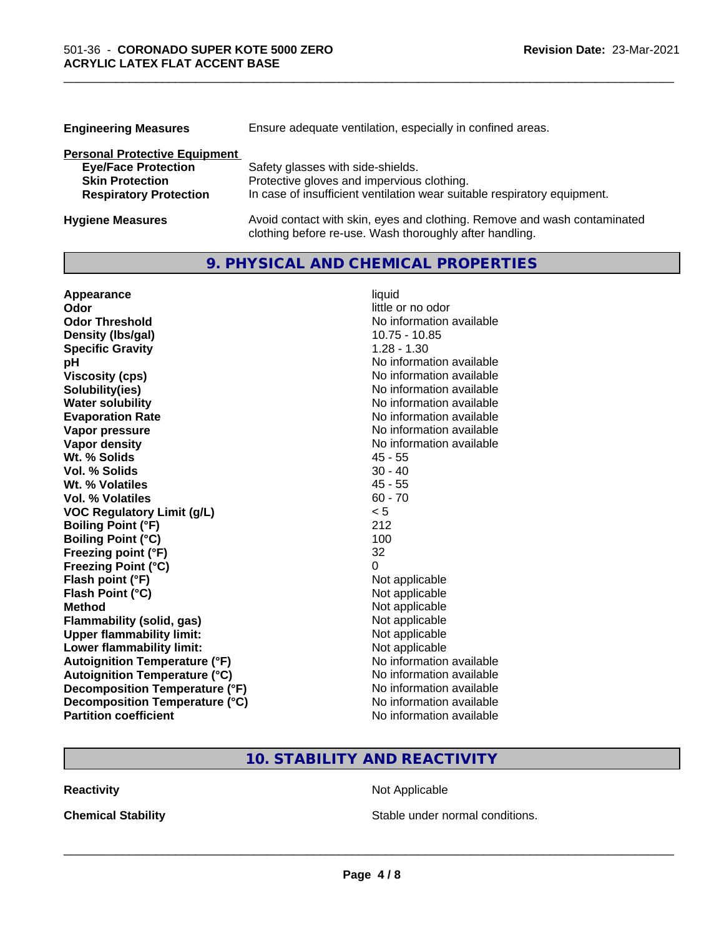| <b>Engineering Measures</b>          | Ensure adequate ventilation, especially in confined areas.               |
|--------------------------------------|--------------------------------------------------------------------------|
| <b>Personal Protective Equipment</b> |                                                                          |
| <b>Eye/Face Protection</b>           | Safety glasses with side-shields.                                        |
| <b>Skin Protection</b>               | Protective gloves and impervious clothing.                               |
| <b>Respiratory Protection</b>        | In case of insufficient ventilation wear suitable respiratory equipment. |
| <b>Hygiene Measures</b>              | Avoid contact with skin, eyes and clothing. Remove and wash contaminated |

clothing before re-use. Wash thoroughly after handling.

\_\_\_\_\_\_\_\_\_\_\_\_\_\_\_\_\_\_\_\_\_\_\_\_\_\_\_\_\_\_\_\_\_\_\_\_\_\_\_\_\_\_\_\_\_\_\_\_\_\_\_\_\_\_\_\_\_\_\_\_\_\_\_\_\_\_\_\_\_\_\_\_\_\_\_\_\_\_\_\_\_\_\_\_\_\_\_\_\_\_\_\_\_

# **9. PHYSICAL AND CHEMICAL PROPERTIES**

| Appearance                            | liquid                   |
|---------------------------------------|--------------------------|
| Odor                                  | little or no odor        |
| <b>Odor Threshold</b>                 | No information available |
| Density (Ibs/gal)                     | 10.75 - 10.85            |
| <b>Specific Gravity</b>               | $1.28 - 1.30$            |
| рH                                    | No information available |
| <b>Viscosity (cps)</b>                | No information available |
| Solubility(ies)                       | No information available |
| <b>Water solubility</b>               | No information available |
| <b>Evaporation Rate</b>               | No information available |
| Vapor pressure                        | No information available |
| <b>Vapor density</b>                  | No information available |
| Wt. % Solids                          | $45 - 55$                |
| <b>Vol. % Solids</b>                  | $30 - 40$                |
| Wt. % Volatiles                       | $45 - 55$                |
| Vol. % Volatiles                      | $60 - 70$                |
| <b>VOC Regulatory Limit (g/L)</b>     | < 5                      |
| <b>Boiling Point (°F)</b>             | 212                      |
| <b>Boiling Point (°C)</b>             | 100                      |
| Freezing point (°F)                   | 32                       |
| <b>Freezing Point (°C)</b>            | 0                        |
| Flash point (°F)                      | Not applicable           |
| Flash Point (°C)                      | Not applicable           |
| <b>Method</b>                         | Not applicable           |
| <b>Flammability (solid, gas)</b>      | Not applicable           |
| <b>Upper flammability limit:</b>      | Not applicable           |
| Lower flammability limit:             | Not applicable           |
| <b>Autoignition Temperature (°F)</b>  | No information available |
| <b>Autoignition Temperature (°C)</b>  | No information available |
| <b>Decomposition Temperature (°F)</b> | No information available |
| Decomposition Temperature (°C)        | No information available |
| <b>Partition coefficient</b>          | No information available |

# **10. STABILITY AND REACTIVITY**

**Reactivity Not Applicable** Not Applicable

**Chemical Stability Chemical Stability** Stable under normal conditions.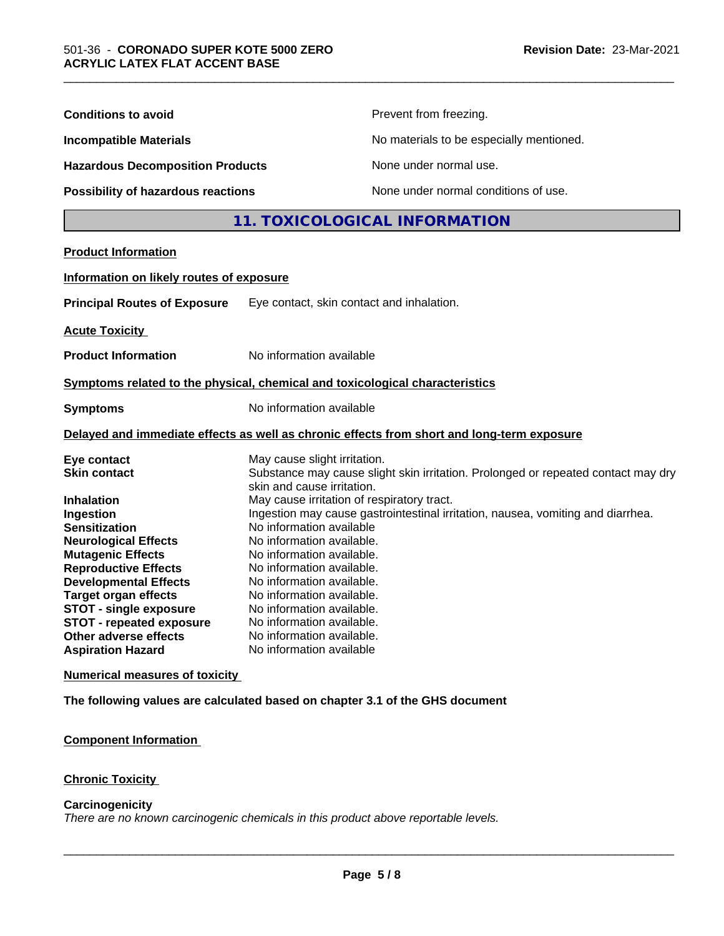| <b>Conditions to avoid</b>                                                   |                                                                          | Prevent from freezing.                                                                     |  |
|------------------------------------------------------------------------------|--------------------------------------------------------------------------|--------------------------------------------------------------------------------------------|--|
| <b>Incompatible Materials</b>                                                |                                                                          | No materials to be especially mentioned.                                                   |  |
| <b>Hazardous Decomposition Products</b>                                      |                                                                          | None under normal use.                                                                     |  |
| Possibility of hazardous reactions                                           |                                                                          | None under normal conditions of use.                                                       |  |
|                                                                              | 11. TOXICOLOGICAL INFORMATION                                            |                                                                                            |  |
| <b>Product Information</b>                                                   |                                                                          |                                                                                            |  |
| Information on likely routes of exposure                                     |                                                                          |                                                                                            |  |
| <b>Principal Routes of Exposure</b>                                          | Eye contact, skin contact and inhalation.                                |                                                                                            |  |
|                                                                              |                                                                          |                                                                                            |  |
| <b>Acute Toxicity</b>                                                        |                                                                          |                                                                                            |  |
| <b>Product Information</b>                                                   | No information available                                                 |                                                                                            |  |
| Symptoms related to the physical, chemical and toxicological characteristics |                                                                          |                                                                                            |  |
| <b>Symptoms</b>                                                              | No information available                                                 |                                                                                            |  |
|                                                                              |                                                                          | Delayed and immediate effects as well as chronic effects from short and long-term exposure |  |
| Eye contact                                                                  | May cause slight irritation.                                             |                                                                                            |  |
| <b>Skin contact</b>                                                          |                                                                          | Substance may cause slight skin irritation. Prolonged or repeated contact may dry          |  |
| <b>Inhalation</b>                                                            | skin and cause irritation.<br>May cause irritation of respiratory tract. |                                                                                            |  |
| Ingestion                                                                    |                                                                          | Ingestion may cause gastrointestinal irritation, nausea, vomiting and diarrhea.            |  |
| <b>Sensitization</b>                                                         | No information available                                                 |                                                                                            |  |
| <b>Neurological Effects</b>                                                  | No information available.                                                |                                                                                            |  |
| <b>Mutagenic Effects</b>                                                     | No information available.                                                |                                                                                            |  |
| <b>Reproductive Effects</b>                                                  | No information available.                                                |                                                                                            |  |
| <b>Developmental Effects</b>                                                 | No information available.                                                |                                                                                            |  |
| <b>Target organ effects</b>                                                  | No information available.                                                |                                                                                            |  |
| <b>STOT - single exposure</b>                                                | No information available.                                                |                                                                                            |  |
| <b>STOT - repeated exposure</b>                                              | No information available.                                                |                                                                                            |  |
| Other adverse effects                                                        | No information available.                                                |                                                                                            |  |
| <b>Aspiration Hazard</b>                                                     | No information available                                                 |                                                                                            |  |
| <b>Numerical measures of toxicity</b>                                        |                                                                          |                                                                                            |  |
| The following values are calculated based on chapter 3.1 of the GHS document |                                                                          |                                                                                            |  |

**Component Information**

**Chronic Toxicity**

# **Carcinogenicity**

*There are no known carcinogenic chemicals in this product above reportable levels.*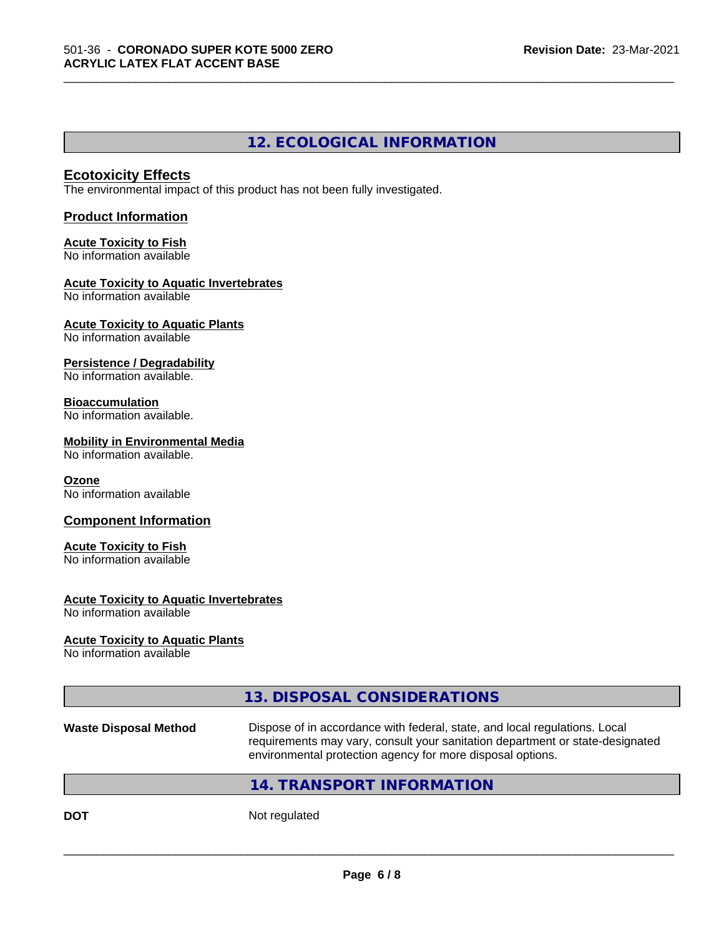# **12. ECOLOGICAL INFORMATION**

\_\_\_\_\_\_\_\_\_\_\_\_\_\_\_\_\_\_\_\_\_\_\_\_\_\_\_\_\_\_\_\_\_\_\_\_\_\_\_\_\_\_\_\_\_\_\_\_\_\_\_\_\_\_\_\_\_\_\_\_\_\_\_\_\_\_\_\_\_\_\_\_\_\_\_\_\_\_\_\_\_\_\_\_\_\_\_\_\_\_\_\_\_

#### **Ecotoxicity Effects**

The environmental impact of this product has not been fully investigated.

#### **Product Information**

#### **Acute Toxicity to Fish** No information available

# **Acute Toxicity to Aquatic Invertebrates**

No information available

#### **Acute Toxicity to Aquatic Plants** No information available

# **Persistence / Degradability**

No information available.

# **Bioaccumulation**

No information available.

#### **Mobility in Environmental Media**

No information available.

#### **Ozone**

No information available

#### **Component Information**

### **Acute Toxicity to Fish**

No information available

#### **Acute Toxicity to Aquatic Invertebrates**

No information available

#### **Acute Toxicity to Aquatic Plants**

No information available

# **13. DISPOSAL CONSIDERATIONS**

```
Waste Disposal Method Dispose of in accordance with federal, state, and local regulations. Local
                     requirements may vary, consult your sanitation department or state-designated
                     environmental protection agency for more disposal options.
```
# **14. TRANSPORT INFORMATION**

**DOT** Not regulated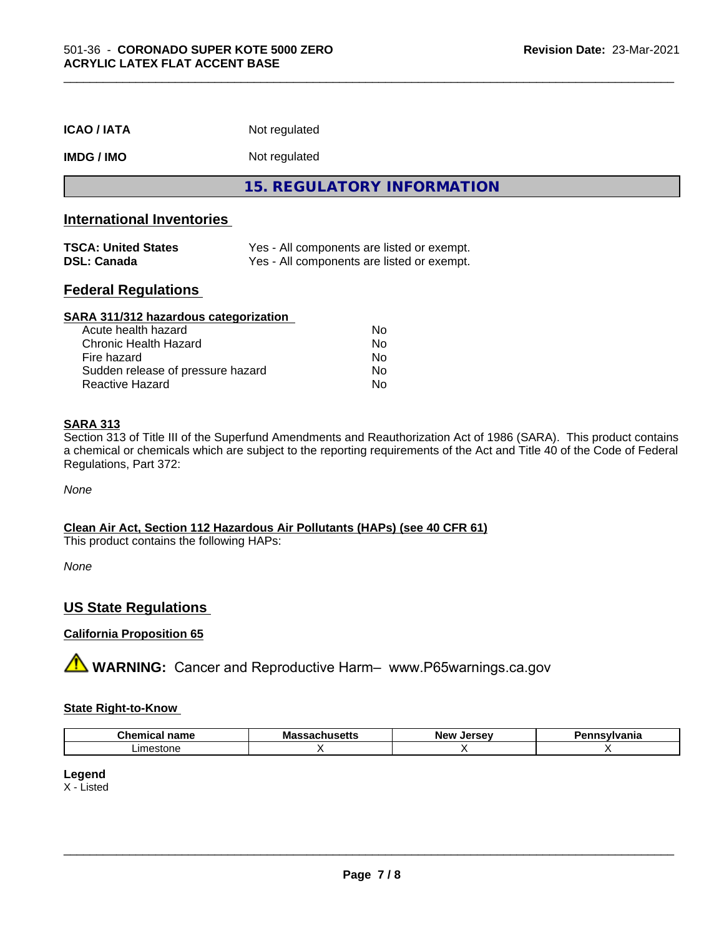| <b>ICAO/IATA</b>                                 | Not regulated                                                                            |
|--------------------------------------------------|------------------------------------------------------------------------------------------|
| <b>IMDG / IMO</b>                                | Not regulated                                                                            |
|                                                  | <b>15. REGULATORY INFORMATION</b>                                                        |
| <b>International Inventories</b>                 |                                                                                          |
| <b>TSCA: United States</b><br><b>DSL: Canada</b> | Yes - All components are listed or exempt.<br>Yes - All components are listed or exempt. |
|                                                  |                                                                                          |

#### **Federal Regulations**

| SARA 311/312 hazardous categorization |    |  |
|---------------------------------------|----|--|
| Acute health hazard                   | Nο |  |
| Chronic Health Hazard                 | No |  |
| Fire hazard                           | No |  |
| Sudden release of pressure hazard     | No |  |
| <b>Reactive Hazard</b>                | No |  |

#### **SARA 313**

Section 313 of Title III of the Superfund Amendments and Reauthorization Act of 1986 (SARA). This product contains a chemical or chemicals which are subject to the reporting requirements of the Act and Title 40 of the Code of Federal Regulations, Part 372:

*None*

#### **Clean Air Act,Section 112 Hazardous Air Pollutants (HAPs) (see 40 CFR 61)**

This product contains the following HAPs:

*None*

# **US State Regulations**

#### **California Proposition 65**

**A WARNING:** Cancer and Reproductive Harm– www.P65warnings.ca.gov

#### **State Right-to-Know**

| нашс                         | . .<br>.<br>. | 'N. |  |
|------------------------------|---------------|-----|--|
| ∟ım∈<br><b>001</b><br>m<br>. |               |     |  |

#### **Legend**

X - Listed